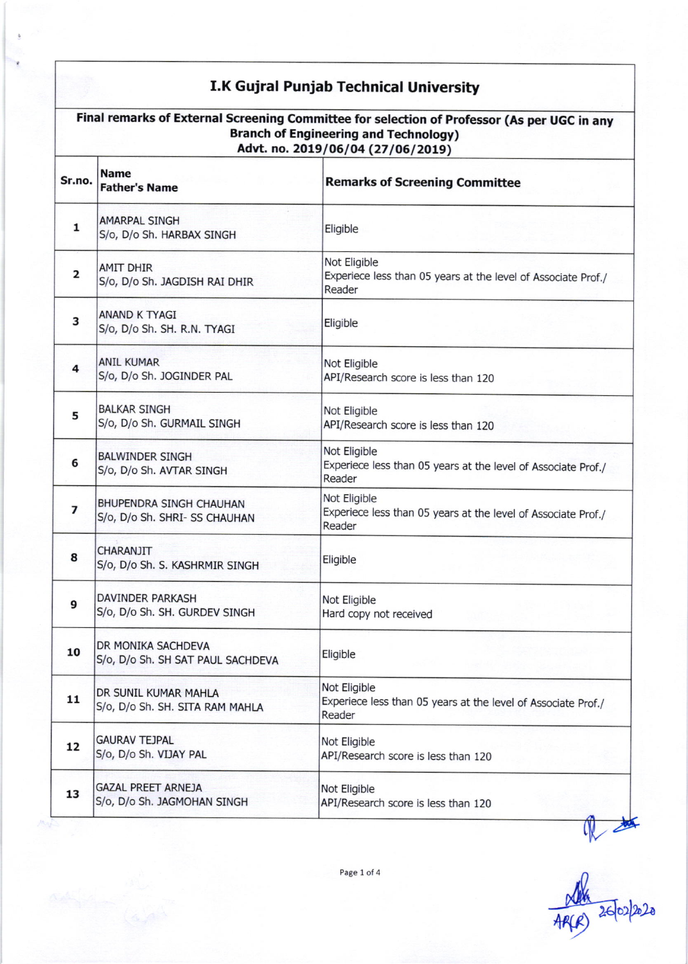## I.K Gujral Punjab Technical University

| Final remarks of External Screening Committee for selection of Professor (As per UGC in any<br><b>Branch of Engineering and Technology)</b><br>Advt. no. 2019/06/04 (27/06/2019) |                                                          |                                                                                         |
|----------------------------------------------------------------------------------------------------------------------------------------------------------------------------------|----------------------------------------------------------|-----------------------------------------------------------------------------------------|
| Sr.no.                                                                                                                                                                           | <b>Name</b><br><b>Father's Name</b>                      | <b>Remarks of Screening Committee</b>                                                   |
| 1                                                                                                                                                                                | <b>AMARPAL SINGH</b><br>S/o, D/o Sh. HARBAX SINGH        | Eligible                                                                                |
| 2                                                                                                                                                                                | <b>AMIT DHIR</b><br>S/o, D/o Sh. JAGDISH RAI DHIR        | Not Eligible<br>Experiece less than 05 years at the level of Associate Prof./<br>Reader |
| З                                                                                                                                                                                | ANAND K TYAGI<br>S/o, D/o Sh. SH. R.N. TYAGI             | Eligible                                                                                |
| 4                                                                                                                                                                                | <b>ANIL KUMAR</b><br>S/o, D/o Sh. JOGINDER PAL           | Not Eligible<br>API/Research score is less than 120                                     |
| 5                                                                                                                                                                                | <b>BALKAR SINGH</b><br>S/o, D/o Sh. GURMAIL SINGH        | Not Eligible<br>API/Research score is less than 120                                     |
| 6                                                                                                                                                                                | <b>BALWINDER SINGH</b><br>S/o, D/o Sh. AVTAR SINGH       | Not Eligible<br>Experiece less than 05 years at the level of Associate Prof./<br>Reader |
| 7                                                                                                                                                                                | BHUPENDRA SINGH CHAUHAN<br>S/o, D/o Sh. SHRI- SS CHAUHAN | Not Eligible<br>Experiece less than 05 years at the level of Associate Prof./<br>Reader |
| 8                                                                                                                                                                                | CHARANJIT<br>S/o, D/o Sh. S. KASHRMIR SINGH              | Eligible                                                                                |
| 9                                                                                                                                                                                | DAVINDER PARKASH<br>S/o, D/o Sh. SH. GURDEV SINGH        | Not Eligible<br>Hard copy not received                                                  |
| 10                                                                                                                                                                               | DR MONIKA SACHDEVA<br>S/o, D/o Sh. SH SAT PAUL SACHDEVA  | Eligible                                                                                |
| 11                                                                                                                                                                               | DR SUNIL KUMAR MAHLA<br>S/o, D/o Sh. SH. SITA RAM MAHLA  | Not Eligible<br>Experiece less than 05 years at the level of Associate Prof./<br>Reader |
| 12                                                                                                                                                                               | <b>GAURAV TEJPAL</b><br>S/o, D/o Sh. VIJAY PAL           | Not Eligible<br>API/Research score is less than 120                                     |
| 13                                                                                                                                                                               | <b>GAZAL PREET ARNEJA</b><br>S/o, D/o Sh. JAGMOHAN SINGH | Not Eligible<br>API/Research score is less than 120                                     |

the 26/02/220

Page 1 of 4